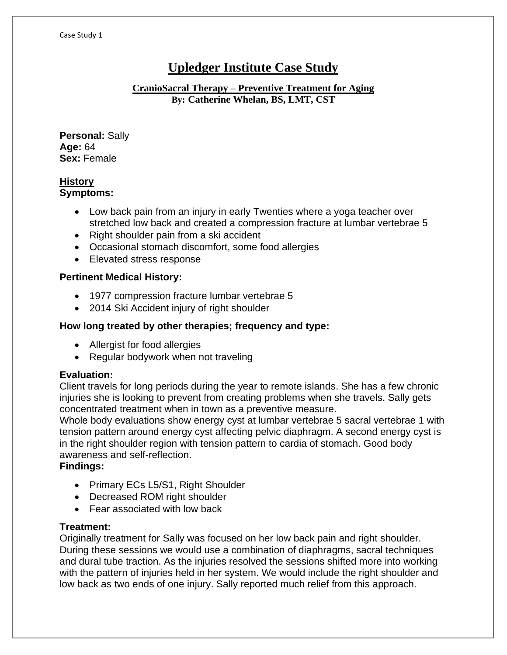# **Upledger Institute Case Study**

## **CranioSacral Therapy – Preventive Treatment for Aging By: Catherine Whelan, BS, LMT, CST**

**Personal:** Sally **Age:** 64 **Sex:** Female

## **History Symptoms:**

- Low back pain from an injury in early Twenties where a yoga teacher over stretched low back and created a compression fracture at lumbar vertebrae 5
- Right shoulder pain from a ski accident
- Occasional stomach discomfort, some food allergies
- Elevated stress response

## **Pertinent Medical History:**

- 1977 compression fracture lumbar vertebrae 5
- 2014 Ski Accident injury of right shoulder

# **How long treated by other therapies; frequency and type:**

- Allergist for food allergies
- Regular bodywork when not traveling

## **Evaluation:**

Client travels for long periods during the year to remote islands. She has a few chronic injuries she is looking to prevent from creating problems when she travels. Sally gets concentrated treatment when in town as a preventive measure.

Whole body evaluations show energy cyst at lumbar vertebrae 5 sacral vertebrae 1 with tension pattern around energy cyst affecting pelvic diaphragm. A second energy cyst is in the right shoulder region with tension pattern to cardia of stomach. Good body awareness and self-reflection.

## **Findings:**

- Primary ECs L5/S1, Right Shoulder
- Decreased ROM right shoulder
- Fear associated with low back

## **Treatment:**

Originally treatment for Sally was focused on her low back pain and right shoulder. During these sessions we would use a combination of diaphragms, sacral techniques and dural tube traction. As the injuries resolved the sessions shifted more into working with the pattern of injuries held in her system. We would include the right shoulder and low back as two ends of one injury. Sally reported much relief from this approach.